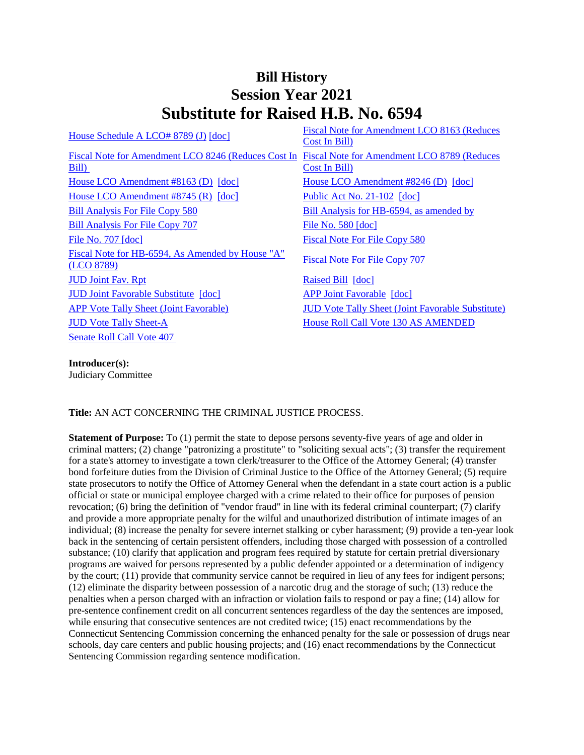## **Bill History Session Year 2021 Substitute for Raised H.B. No. 6594**

| House Schedule A LCO# 8789 (J) [doc]                                                            | Fiscal Note for Amendment LCO 8163 (Reduces<br>Cost In Bill) |
|-------------------------------------------------------------------------------------------------|--------------------------------------------------------------|
| Fiscal Note for Amendment LCO 8246 (Reduces Cost In Fiscal Note for Amendment LCO 8789 (Reduces |                                                              |
| Bill)                                                                                           | Cost In Bill)                                                |
| House LCO Amendment $#8163$ (D) $[doc]$                                                         | House LCO Amendment #8246 (D) [doc]                          |
| House LCO Amendment $#8745$ (R) $[doc]$                                                         | Public Act No. 21-102 [doc]                                  |
| <b>Bill Analysis For File Copy 580</b>                                                          | Bill Analysis for HB-6594, as amended by                     |
| <b>Bill Analysis For File Copy 707</b>                                                          | File No. $580$ [doc]                                         |
| File No. $707$ $\lceil \text{doc} \rceil$                                                       | Fiscal Note For File Copy 580                                |
| Fiscal Note for HB-6594, As Amended by House "A"<br>(LCO 8789)                                  | <b>Fiscal Note For File Copy 707</b>                         |
| <b>JUD Joint Fav. Rpt</b>                                                                       | Raised Bill [doc]                                            |
| <b>JUD Joint Favorable Substitute [doc]</b>                                                     | <b>APP Joint Favorable [doc]</b>                             |
| <b>APP</b> Vote Tally Sheet (Joint Favorable)                                                   | <b>JUD Vote Tally Sheet (Joint Favorable Substitute)</b>     |
| <b>JUD Vote Tally Sheet-A</b>                                                                   | House Roll Call Vote 130 AS AMENDED                          |
| <b>Senate Roll Call Vote 407</b>                                                                |                                                              |

**Introducer(s):** Judiciary Committee

## **Title:** AN ACT CONCERNING THE CRIMINAL JUSTICE PROCESS.

**Statement of Purpose:** To (1) permit the state to depose persons seventy-five years of age and older in criminal matters; (2) change "patronizing a prostitute" to "soliciting sexual acts"; (3) transfer the requirement for a state's attorney to investigate a town clerk/treasurer to the Office of the Attorney General; (4) transfer bond forfeiture duties from the Division of Criminal Justice to the Office of the Attorney General; (5) require state prosecutors to notify the Office of Attorney General when the defendant in a state court action is a public official or state or municipal employee charged with a crime related to their office for purposes of pension revocation; (6) bring the definition of "vendor fraud" in line with its federal criminal counterpart; (7) clarify and provide a more appropriate penalty for the wilful and unauthorized distribution of intimate images of an individual; (8) increase the penalty for severe internet stalking or cyber harassment; (9) provide a ten-year look back in the sentencing of certain persistent offenders, including those charged with possession of a controlled substance; (10) clarify that application and program fees required by statute for certain pretrial diversionary programs are waived for persons represented by a public defender appointed or a determination of indigency by the court; (11) provide that community service cannot be required in lieu of any fees for indigent persons; (12) eliminate the disparity between possession of a narcotic drug and the storage of such; (13) reduce the penalties when a person charged with an infraction or violation fails to respond or pay a fine; (14) allow for pre-sentence confinement credit on all concurrent sentences regardless of the day the sentences are imposed, while ensuring that consecutive sentences are not credited twice; (15) enact recommendations by the Connecticut Sentencing Commission concerning the enhanced penalty for the sale or possession of drugs near schools, day care centers and public housing projects; and (16) enact recommendations by the Connecticut Sentencing Commission regarding sentence modification.